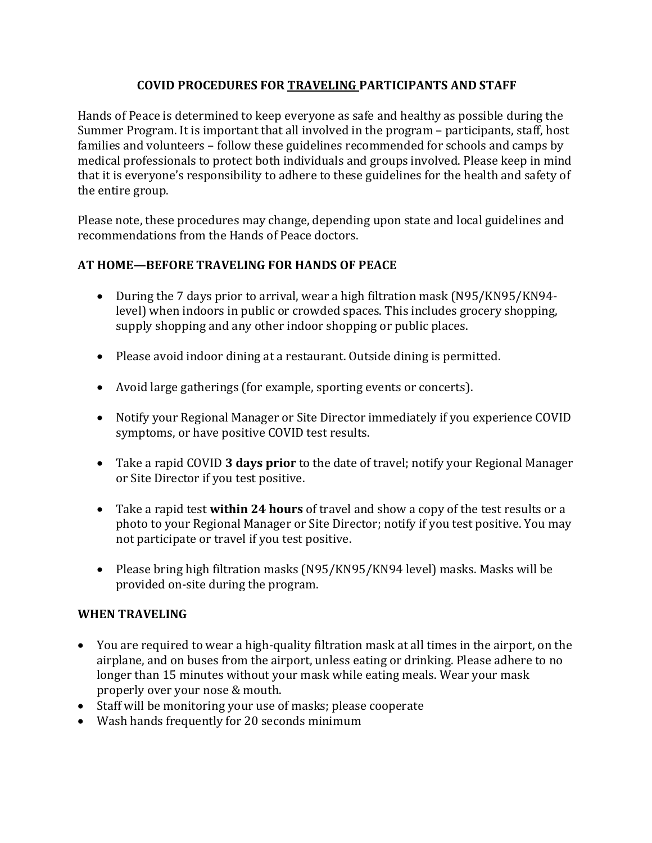## **COVID PROCEDURES FOR TRAVELING PARTICIPANTS AND STAFF**

Hands of Peace is determined to keep everyone as safe and healthy as possible during the Summer Program. It is important that all involved in the program – participants, staff, host families and volunteers – follow these guidelines recommended for schools and camps by medical professionals to protect both individuals and groups involved. Please keep in mind that it is everyone's responsibility to adhere to these guidelines for the health and safety of the entire group.

Please note, these procedures may change, depending upon state and local guidelines and recommendations from the Hands of Peace doctors.

## **AT HOME—BEFORE TRAVELING FOR HANDS OF PEACE**

- During the 7 days prior to arrival, wear a high filtration mask (N95/KN95/KN94level) when indoors in public or crowded spaces. This includes grocery shopping, supply shopping and any other indoor shopping or public places.
- Please avoid indoor dining at a restaurant. Outside dining is permitted.
- Avoid large gatherings (for example, sporting events or concerts).
- Notify your Regional Manager or Site Director immediately if you experience COVID symptoms, or have positive COVID test results.
- Take a rapid COVID **3 days prior** to the date of travel; notify your Regional Manager or Site Director if you test positive.
- Take a rapid test **within 24 hours** of travel and show a copy of the test results or a photo to your Regional Manager or Site Director; notify if you test positive. You may not participate or travel if you test positive.
- Please bring high filtration masks (N95/KN95/KN94 level) masks. Masks will be provided on-site during the program.

## **WHEN TRAVELING**

- You are required to wear a high-quality filtration mask at all times in the airport, on the airplane, and on buses from the airport, unless eating or drinking. Please adhere to no longer than 15 minutes without your mask while eating meals. Wear your mask properly over your nose & mouth.
- Staff will be monitoring your use of masks; please cooperate
- Wash hands frequently for 20 seconds minimum